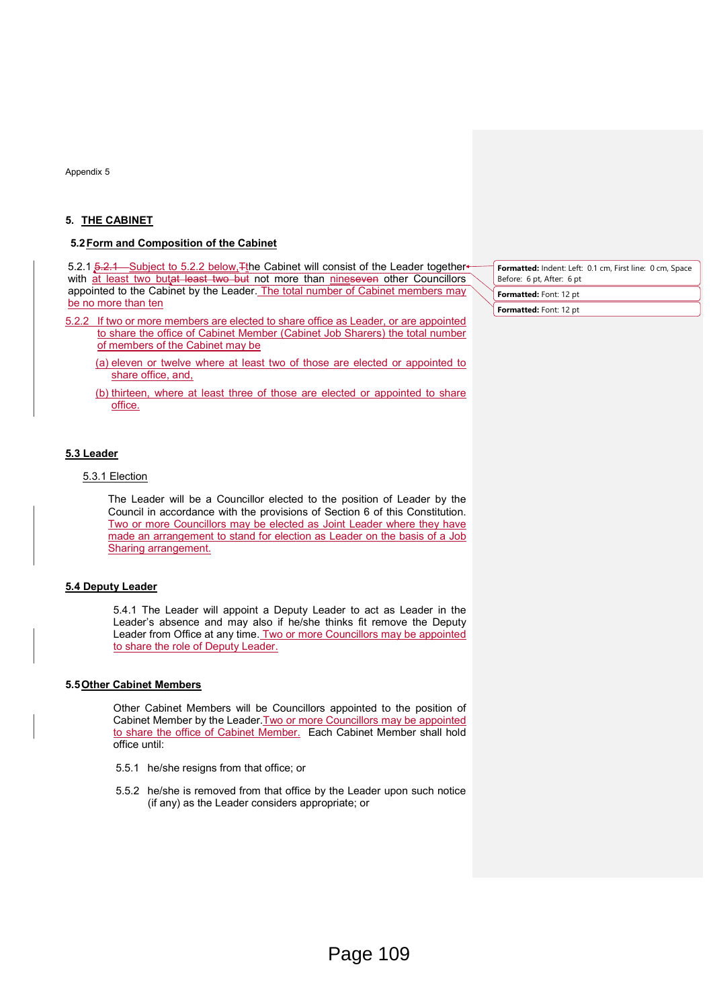Appendix 5

## 5. THE CABINET

#### 5.2 Form and Composition of the Cabinet

5.2.1 5.2.1 Subject to 5.2.2 below, Tthe Cabinet will consist of the Leader togetherwith at least two butat least two but not more than nineseven other Councillors appointed to the Cabinet by the Leader. The total number of Cabinet members may be no more than ten

- 5.2.2 If two or more members are elected to share office as Leader, or are appointed to share the office of Cabinet Member (Cabinet Job Sharers) the total number of members of the Cabinet may be
	- (a) eleven or twelve where at least two of those are elected or appointed to share office, and,
	- (b) thirteen, where at least three of those are elected or appointed to share office.

#### 5.3 Leader

## 5.3.1 Election

The Leader will be a Councillor elected to the position of Leader by the Council in accordance with the provisions of Section 6 of this Constitution. Two or more Councillors may be elected as Joint Leader where they have made an arrangement to stand for election as Leader on the basis of a Job Sharing arrangement.

### 5.4 Deputy Leader

5.4.1 The Leader will appoint a Deputy Leader to act as Leader in the Leader's absence and may also if he/she thinks fit remove the Deputy Leader from Office at any time. Two or more Councillors may be appointed to share the role of Deputy Leader.

#### 5.5 Other Cabinet Members

Other Cabinet Members will be Councillors appointed to the position of Cabinet Member by the Leader. Two or more Councillors may be appointed to share the office of Cabinet Member. Each Cabinet Member shall hold office until:

- 5.5.1 he/she resigns from that office; or
- 5.5.2 he/she is removed from that office by the Leader upon such notice (if any) as the Leader considers appropriate; or

Formatted: Indent: Left: 0.1 cm, First line: 0 cm, Space Before: 6 pt, After: 6 pt Formatted: Font: 12 pt

Formatted: Font: 12 pt